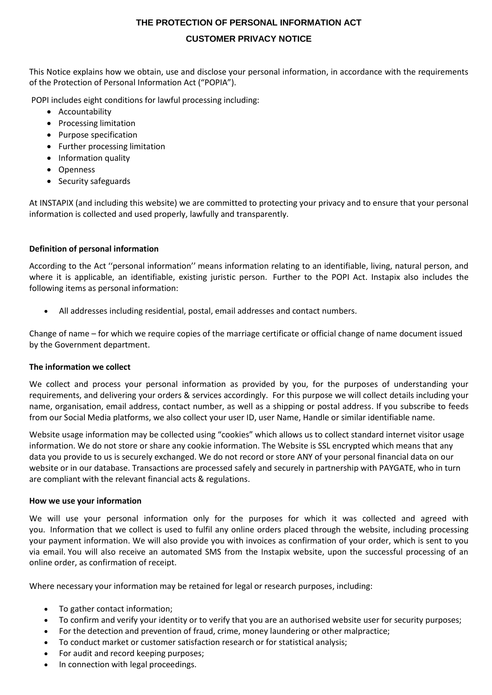# **THE PROTECTION OF PERSONAL INFORMATION ACT**

# **CUSTOMER PRIVACY NOTICE**

This Notice explains how we obtain, use and disclose your personal information, in accordance with the requirements of the Protection of Personal Information Act ("POPIA").

POPI includes eight conditions for lawful processing including:

- Accountability
- Processing limitation
- Purpose specification
- Further processing limitation
- Information quality
- Openness
- Security safeguards

At INSTAPIX (and including this website) we are committed to protecting your privacy and to ensure that your personal information is collected and used properly, lawfully and transparently.

## **Definition of personal information**

According to the Act ''personal information'' means information relating to an identifiable, living, natural person, and where it is applicable, an identifiable, existing juristic person. Further to the POPI Act. Instapix also includes the following items as personal information:

All addresses including residential, postal, email addresses and contact numbers.

Change of name – for which we require copies of the marriage certificate or official change of name document issued by the Government department.

## **The information we collect**

We collect and process your personal information as provided by you, for the purposes of understanding your requirements, and delivering your orders & services accordingly. For this purpose we will collect details including your name, organisation, email address, contact number, as well as a shipping or postal address. If you subscribe to feeds from our Social Media platforms, we also collect your user ID, user Name, Handle or similar identifiable name.

Website usage information may be collected using "cookies" which allows us to collect standard internet visitor usage information. We do not store or share any cookie information. The Website is SSL encrypted which means that any data you provide to us is securely exchanged. We do not record or store ANY of your personal financial data on our website or in our database. Transactions are processed safely and securely in partnership with PAYGATE, who in turn are compliant with the relevant financial acts & regulations.

#### **How we use your information**

We will use your personal information only for the purposes for which it was collected and agreed with you. Information that we collect is used to fulfil any online orders placed through the website, including processing your payment information. We will also provide you with invoices as confirmation of your order, which is sent to you via email. You will also receive an automated SMS from the Instapix website, upon the successful processing of an online order, as confirmation of receipt.

Where necessary your information may be retained for legal or research purposes, including:

- To gather contact information;
- To confirm and verify your identity or to verify that you are an authorised website user for security purposes;
- For the detection and prevention of fraud, crime, money laundering or other malpractice;
- To conduct market or customer satisfaction research or for statistical analysis;
- For audit and record keeping purposes;
- In connection with legal proceedings.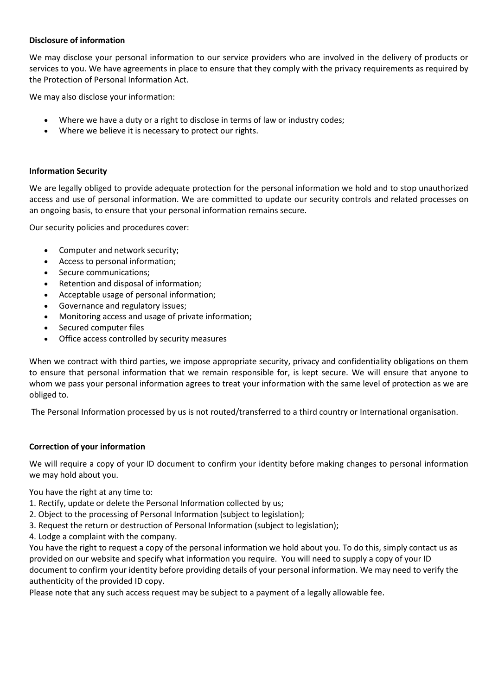## **Disclosure of information**

We may disclose your personal information to our service providers who are involved in the delivery of products or services to you. We have agreements in place to ensure that they comply with the privacy requirements as required by the Protection of Personal Information Act.

We may also disclose your information:

- Where we have a duty or a right to disclose in terms of law or industry codes;
- Where we believe it is necessary to protect our rights.

## **Information Security**

We are legally obliged to provide adequate protection for the personal information we hold and to stop unauthorized access and use of personal information. We are committed to update our security controls and related processes on an ongoing basis, to ensure that your personal information remains secure.

Our security policies and procedures cover:

- Computer and network security;
- Access to personal information;
- Secure communications;
- Retention and disposal of information;
- Acceptable usage of personal information;
- Governance and regulatory issues;
- Monitoring access and usage of private information;
- Secured computer files
- Office access controlled by security measures

When we contract with third parties, we impose appropriate security, privacy and confidentiality obligations on them to ensure that personal information that we remain responsible for, is kept secure. We will ensure that anyone to whom we pass your personal information agrees to treat your information with the same level of protection as we are obliged to.

The Personal Information processed by us is not routed/transferred to a third country or International organisation.

## **Correction of your information**

We will require a copy of your ID document to confirm your identity before making changes to personal information we may hold about you.

## You have the right at any time to:

- 1. Rectify, update or delete the Personal Information collected by us;
- 2. Object to the processing of Personal Information (subject to legislation);
- 3. Request the return or destruction of Personal Information (subject to legislation);
- 4. Lodge a complaint with the company.

You have the right to request a copy of the personal information we hold about you. To do this, simply contact us as provided on our website and specify what information you require. You will need to supply a copy of your ID document to confirm your identity before providing details of your personal information. We may need to verify the authenticity of the provided ID copy.

Please note that any such access request may be subject to a payment of a legally allowable fee.